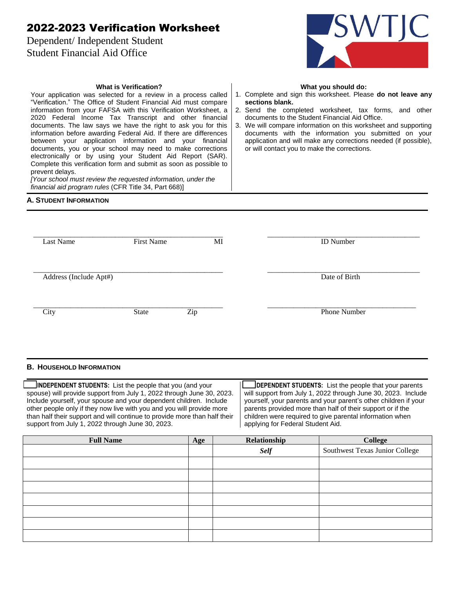# 2022-2023 Verification Worksheet

**What is Verification?** Your application was selected for a review in a process called "Verification." The Office of Student Financial Aid must compare information from your FAFSA with this Verification Worksheet, a 2020 Federal Income Tax Transcript and other financial documents. The law says we have the right to ask you for this information before awarding Federal Aid. If there are differences between your application information and your financial documents, you or your school may need to make corrections electronically or by using your Student Aid Report (SAR). Complete this verification form and submit as soon as possible to

*[Your school must review the requested information, under the* 

*financial aid program rules* (CFR Title 34, Part 668)]

Dependent/ Independent Student Student Financial Aid Office



#### **What you should do:**

- 1. Complete and sign this worksheet. Please **do not leave any sections blank.**
- 2. Send the completed worksheet, tax forms, and other documents to the Student Financial Aid Office.
- 3. We will compare information on this worksheet and supporting documents with the information you submitted on your application and will make any corrections needed (if possible), or will contact you to make the corrections.

## **A. STUDENT INFORMATION**

prevent delays.

| <b>Last Name</b>           | <b>First Name</b> | МI  | <b>ID</b> Number    |
|----------------------------|-------------------|-----|---------------------|
| Address (Include Apt#)     |                   |     | Date of Birth       |
| $\overline{\mathrm{City}}$ | <b>State</b>      | Zip | <b>Phone Number</b> |

#### **B. HOUSEHOLD INFORMATION**

 **INDEPENDENT STUDENTS:** List the people that you (and your spouse) will provide support from July 1, 2022 through June 30, 2023. Include yourself, your spouse and your dependent children. Include other people only if they now live with you and you will provide more than half their support and will continue to provide more than half their support from July 1, 2022 through June 30, 2023.

 **DEPENDENT STUDENTS:** List the people that your parents will support from July 1, 2022 through June 30, 2023. Include yourself, your parents and your parent's other children if your parents provided more than half of their support or if the children were required to give parental information when applying for Federal Student Aid.

| <b>Full Name</b> | Age | Relationship | College                        |
|------------------|-----|--------------|--------------------------------|
|                  |     | <b>Self</b>  | Southwest Texas Junior College |
|                  |     |              |                                |
|                  |     |              |                                |
|                  |     |              |                                |
|                  |     |              |                                |
|                  |     |              |                                |
|                  |     |              |                                |
|                  |     |              |                                |